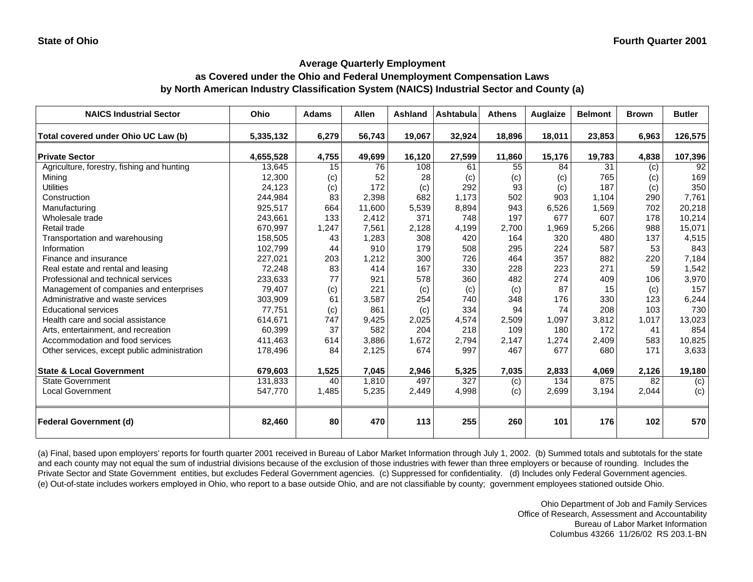## **as Covered under the Ohio and Federal Unemployment Compensation Laws by North American Industry Classification System (NAICS) Industrial Sector and County (a)**

| <b>NAICS Industrial Sector</b>               | Ohio      | <b>Adams</b> | <b>Allen</b> | Ashland | <b>Ashtabula</b> | <b>Athens</b> | Auglaize | <b>Belmont</b> | <b>Brown</b> | <b>Butler</b> |
|----------------------------------------------|-----------|--------------|--------------|---------|------------------|---------------|----------|----------------|--------------|---------------|
| Total covered under Ohio UC Law (b)          | 5,335,132 | 6,279        | 56,743       | 19,067  | 32,924           | 18,896        | 18,011   | 23,853         | 6,963        | 126,575       |
| <b>Private Sector</b>                        | 4,655,528 | 4,755        | 49,699       | 16,120  | 27,599           | 11,860        | 15,176   | 19,783         | 4,838        | 107,396       |
| Agriculture, forestry, fishing and hunting   | 13,645    | 15           | 76           | 108     | 61               | 55            | 84       | 31             | (c)          | 92            |
| Mining                                       | 12,300    | (c)          | 52           | 28      | (c)              | (c)           | (c)      | 765            | (c)          | 169           |
| <b>Utilities</b>                             | 24,123    | (c)          | 172          | (c)     | 292              | 93            | (c)      | 187            | (c)          | 350           |
| Construction                                 | 244,984   | 83           | 2,398        | 682     | 1,173            | 502           | 903      | 1,104          | 290          | 7,761         |
| Manufacturing                                | 925,517   | 664          | 11,600       | 5,539   | 8,894            | 943           | 6,526    | 1,569          | 702          | 20,218        |
| Wholesale trade                              | 243,661   | 133          | 2,412        | 371     | 748              | 197           | 677      | 607            | 178          | 10,214        |
| Retail trade                                 | 670,997   | 1,247        | 7,561        | 2,128   | 4,199            | 2,700         | 1,969    | 5,266          | 988          | 15,071        |
| Transportation and warehousing               | 158,505   | 43           | 1,283        | 308     | 420              | 164           | 320      | 480            | 137          | 4,515         |
| Information                                  | 102.799   | 44           | 910          | 179     | 508              | 295           | 224      | 587            | 53           | 843           |
| Finance and insurance                        | 227,021   | 203          | 1,212        | 300     | 726              | 464           | 357      | 882            | 220          | 7,184         |
| Real estate and rental and leasing           | 72,248    | 83           | 414          | 167     | 330              | 228           | 223      | 271            | 59           | 1,542         |
| Professional and technical services          | 233,633   | 77           | 921          | 578     | 360              | 482           | 274      | 409            | 106          | 3,970         |
| Management of companies and enterprises      | 79,407    | (c)          | 221          | (c)     | (c)              | (c)           | 87       | 15             | (c)          | 157           |
| Administrative and waste services            | 303,909   | 61           | 3,587        | 254     | 740              | 348           | 176      | 330            | 123          | 6,244         |
| <b>Educational services</b>                  | 77,751    | (c)          | 861          | (c)     | 334              | 94            | 74       | 208            | 103          | 730           |
| Health care and social assistance            | 614,671   | 747          | 9,425        | 2,025   | 4,574            | 2,509         | 1,097    | 3,812          | 1,017        | 13,023        |
| Arts, entertainment, and recreation          | 60,399    | 37           | 582          | 204     | 218              | 109           | 180      | 172            | 41           | 854           |
| Accommodation and food services              | 411,463   | 614          | 3,886        | 1,672   | 2,794            | 2,147         | 1,274    | 2,409          | 583          | 10,825        |
| Other services, except public administration | 178,496   | 84           | 2,125        | 674     | 997              | 467           | 677      | 680            | 171          | 3,633         |
| <b>State &amp; Local Government</b>          | 679,603   | 1,525        | 7,045        | 2,946   | 5,325            | 7,035         | 2,833    | 4,069          | 2,126        | 19,180        |
| <b>State Government</b>                      | 131,833   | 40           | 1,810        | 497     | 327              | (c)           | 134      | 875            | 82           | (c)           |
| <b>Local Government</b>                      | 547,770   | 1,485        | 5,235        | 2,449   | 4,998            | (c)           | 2,699    | 3,194          | 2,044        | (c)           |
| <b>Federal Government (d)</b>                | 82,460    | 80           | 470          | 113     | 255              | 260           | 101      | 176            | 102          | 570           |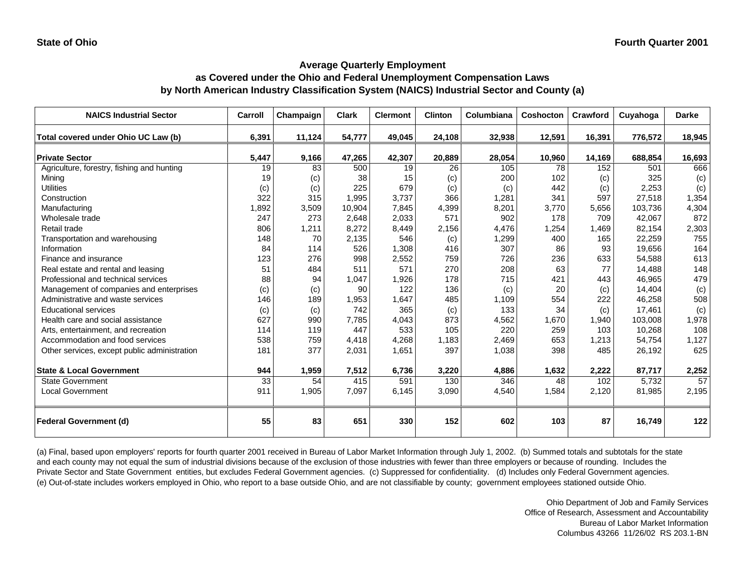#### **Average Quarterly Employment as Covered under the Ohio and Federal Unemployment Compensation Laws by North American Industry Classification System (NAICS) Industrial Sector and County (a)**

| <b>NAICS Industrial Sector</b>               | Carroll         | Champaign | <b>Clark</b> | <b>Clermont</b> | <b>Clinton</b> | Columbiana | Coshocton | Crawford | Cuyahoga | <b>Darke</b> |
|----------------------------------------------|-----------------|-----------|--------------|-----------------|----------------|------------|-----------|----------|----------|--------------|
| Total covered under Ohio UC Law (b)          | 6,391           | 11,124    | 54,777       | 49,045          | 24,108         | 32,938     | 12,591    | 16,391   | 776,572  | 18,945       |
| <b>Private Sector</b>                        | 5,447           | 9,166     | 47,265       | 42,307          | 20,889         | 28,054     | 10,960    | 14,169   | 688,854  | 16,693       |
| Agriculture, forestry, fishing and hunting   | 19              | 83        | 500          | 19              | 26             | 105        | 78        | 152      | 501      | 666          |
| Mining                                       | 19              | (c)       | 38           | 15              | (c)            | 200        | 102       | (c)      | 325      | (c)          |
| <b>Utilities</b>                             | (c)             | (c)       | 225          | 679             | (c)            | (c)        | 442       | (c)      | 2,253    | (c)          |
| Construction                                 | 322             | 315       | 1,995        | 3,737           | 366            | 1,281      | 341       | 597      | 27,518   | 1,354        |
| Manufacturing                                | 1,892           | 3,509     | 10,904       | 7,845           | 4,399          | 8,201      | 3.770     | 5,656    | 103,736  | 4,304        |
| Wholesale trade                              | 247             | 273       | 2,648        | 2,033           | 571            | 902        | 178       | 709      | 42,067   | 872          |
| Retail trade                                 | 806             | 1,211     | 8,272        | 8,449           | 2,156          | 4,476      | 1,254     | 1,469    | 82,154   | 2,303        |
| Transportation and warehousing               | 148             | 70        | 2,135        | 546             | (c)            | 1,299      | 400       | 165      | 22,259   | 755          |
| Information                                  | 84              | 114       | 526          | 1,308           | 416            | 307        | 86        | 93       | 19,656   | 164          |
| Finance and insurance                        | 123             | 276       | 998          | 2,552           | 759            | 726        | 236       | 633      | 54,588   | 613          |
| Real estate and rental and leasing           | 51              | 484       | 511          | 571             | 270            | 208        | 63        | 77       | 14,488   | 148          |
| Professional and technical services          | 88              | 94        | 1,047        | 1,926           | 178            | 715        | 421       | 443      | 46,965   | 479          |
| Management of companies and enterprises      | (c)             | (c)       | 90           | 122             | 136            | (c)        | 20        | (c)      | 14,404   | (c)          |
| Administrative and waste services            | 146             | 189       | 1,953        | 1,647           | 485            | 1,109      | 554       | 222      | 46,258   | 508          |
| <b>Educational services</b>                  | (c)             | (c)       | 742          | 365             | (c)            | 133        | 34        | (c)      | 17,461   | (c)          |
| Health care and social assistance            | 627             | 990       | 7,785        | 4,043           | 873            | 4,562      | 1,670     | 1,940    | 103,008  | 1,978        |
| Arts, entertainment, and recreation          | 114             | 119       | 447          | 533             | 105            | 220        | 259       | 103      | 10,268   | 108          |
| Accommodation and food services              | 538             | 759       | 4,418        | 4,268           | 1,183          | 2,469      | 653       | 1,213    | 54,754   | 1,127        |
| Other services, except public administration | 181             | 377       | 2,031        | 1,651           | 397            | 1,038      | 398       | 485      | 26,192   | 625          |
| <b>State &amp; Local Government</b>          | 944             | 1,959     | 7,512        | 6,736           | 3,220          | 4,886      | 1,632     | 2,222    | 87,717   | 2,252        |
| <b>State Government</b>                      | $\overline{33}$ | 54        | 415          | 591             | 130            | 346        | 48        | 102      | 5,732    | 57           |
| <b>Local Government</b>                      | 911             | 1,905     | 7,097        | 6,145           | 3,090          | 4,540      | 1,584     | 2,120    | 81,985   | 2,195        |
| <b>Federal Government (d)</b>                | 55              | 83        | 651          | 330             | 152            | 602        | 103       | 87       | 16,749   | 122          |

(a) Final, based upon employers' reports for fourth quarter 2001 received in Bureau of Labor Market Information through July 1, 2002. (b) Summed totals and subtotals for the state and each county may not equal the sum of industrial divisions because of the exclusion of those industries with fewer than three employers or because of rounding. Includes the Private Sector and State Government entities, but excludes Federal Government agencies. (c) Suppressed for confidentiality. (d) Includes only Federal Government agencies. (e) Out-of-state includes workers employed in Ohio, who report to a base outside Ohio, and are not classifiable by county; government employees stationed outside Ohio.

> Ohio Department of Job and Family Services Office of Research, Assessment and Accountability Bureau of Labor Market Information Columbus 43266 11/26/02 RS 203.1-BN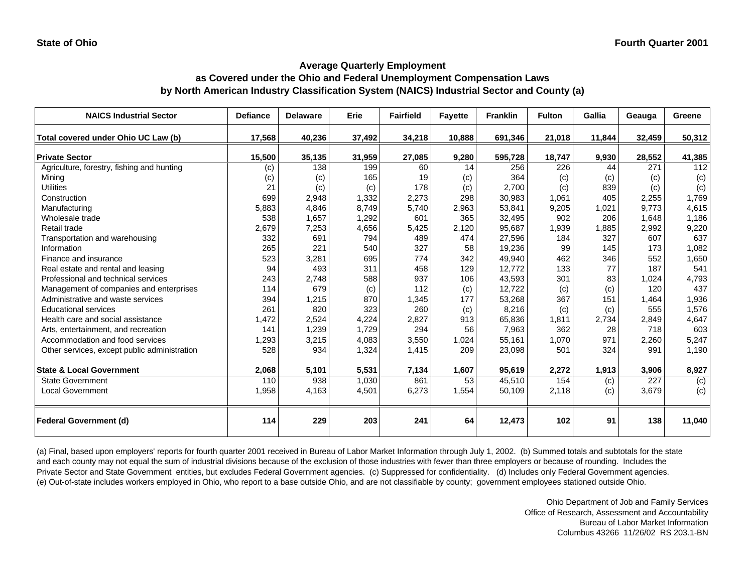#### **Average Quarterly Employment as Covered under the Ohio and Federal Unemployment Compensation Laws by North American Industry Classification System (NAICS) Industrial Sector and County (a)**

| <b>NAICS Industrial Sector</b>               | <b>Defiance</b> | <b>Delaware</b> | Erie   | <b>Fairfield</b> | <b>Fayette</b> | <b>Franklin</b> | <b>Fulton</b> | Gallia | Geauga | Greene |
|----------------------------------------------|-----------------|-----------------|--------|------------------|----------------|-----------------|---------------|--------|--------|--------|
| Total covered under Ohio UC Law (b)          | 17,568          | 40,236          | 37,492 | 34,218           | 10,888         | 691,346         | 21,018        | 11,844 | 32,459 | 50,312 |
| <b>Private Sector</b>                        | 15,500          | 35,135          | 31,959 | 27,085           | 9,280          | 595,728         | 18,747        | 9,930  | 28,552 | 41,385 |
| Agriculture, forestry, fishing and hunting   | (c)             | 138             | 199    | 60               | 14             | 256             | 226           | 44     | 271    | 112    |
| Mining                                       | (c)             | (c)             | 165    | 19               | (c)            | 364             | (c)           | (c)    | (c)    | (c)    |
| <b>Utilities</b>                             | 21              | (c)             | (c)    | 178              | (c)            | 2,700           | (c)           | 839    | (c)    | (c)    |
| Construction                                 | 699             | 2,948           | 1,332  | 2,273            | 298            | 30,983          | 1.061         | 405    | 2,255  | 1,769  |
| Manufacturing                                | 5,883           | 4,846           | 8,749  | 5,740            | 2,963          | 53,841          | 9,205         | 1,021  | 9,773  | 4,615  |
| Wholesale trade                              | 538             | 1,657           | 1,292  | 601              | 365            | 32,495          | 902           | 206    | 1,648  | 1,186  |
| Retail trade                                 | 2,679           | 7,253           | 4,656  | 5,425            | 2,120          | 95,687          | 1,939         | 1,885  | 2,992  | 9,220  |
| Transportation and warehousing               | 332             | 691             | 794    | 489              | 474            | 27,596          | 184           | 327    | 607    | 637    |
| Information                                  | 265             | 221             | 540    | 327              | 58             | 19,236          | 99            | 145    | 173    | 1,082  |
| Finance and insurance                        | 523             | 3,281           | 695    | 774              | 342            | 49,940          | 462           | 346    | 552    | 1,650  |
| Real estate and rental and leasing           | 94              | 493             | 311    | 458              | 129            | 12,772          | 133           | 77     | 187    | 541    |
| Professional and technical services          | 243             | 2,748           | 588    | 937              | 106            | 43,593          | 301           | 83     | 1,024  | 4,793  |
| Management of companies and enterprises      | 114             | 679             | (c)    | 112              | (c)            | 12,722          | (c)           | (c)    | 120    | 437    |
| Administrative and waste services            | 394             | 1,215           | 870    | 1,345            | 177            | 53,268          | 367           | 151    | 1,464  | 1,936  |
| <b>Educational services</b>                  | 261             | 820             | 323    | 260              | (c)            | 8,216           | (c)           | (c)    | 555    | 1,576  |
| Health care and social assistance            | 1,472           | 2,524           | 4,224  | 2,827            | 913            | 65,836          | 1,811         | 2,734  | 2,849  | 4,647  |
| Arts, entertainment, and recreation          | 141             | 1,239           | 1,729  | 294              | 56             | 7,963           | 362           | 28     | 718    | 603    |
| Accommodation and food services              | 1,293           | 3,215           | 4,083  | 3,550            | 1,024          | 55,161          | 1,070         | 971    | 2,260  | 5,247  |
| Other services, except public administration | 528             | 934             | 1,324  | 1,415            | 209            | 23,098          | 501           | 324    | 991    | 1,190  |
| <b>State &amp; Local Government</b>          | 2,068           | 5,101           | 5,531  | 7,134            | 1,607          | 95,619          | 2,272         | 1,913  | 3,906  | 8,927  |
| <b>State Government</b>                      | 110             | 938             | 1,030  | 861              | 53             | 45,510          | 154           | (c)    | 227    | (c)    |
| <b>Local Government</b>                      | 1,958           | 4,163           | 4,501  | 6,273            | 1,554          | 50,109          | 2,118         | (c)    | 3,679  | (c)    |
| <b>Federal Government (d)</b>                | 114             | 229             | 203    | 241              | 64             | 12,473          | 102           | 91     | 138    | 11,040 |

(a) Final, based upon employers' reports for fourth quarter 2001 received in Bureau of Labor Market Information through July 1, 2002. (b) Summed totals and subtotals for the state and each county may not equal the sum of industrial divisions because of the exclusion of those industries with fewer than three employers or because of rounding. Includes the Private Sector and State Government entities, but excludes Federal Government agencies. (c) Suppressed for confidentiality. (d) Includes only Federal Government agencies. (e) Out-of-state includes workers employed in Ohio, who report to a base outside Ohio, and are not classifiable by county; government employees stationed outside Ohio.

> Ohio Department of Job and Family Services Office of Research, Assessment and Accountability Bureau of Labor Market Information Columbus 43266 11/26/02 RS 203.1-BN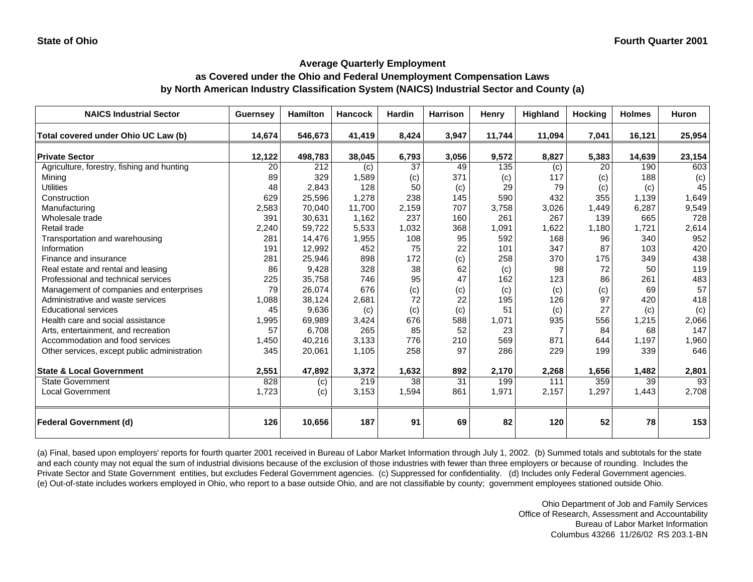#### **as Covered under the Ohio and Federal Unemployment Compensation Laws by North American Industry Classification System (NAICS) Industrial Sector and County (a)**

| <b>NAICS Industrial Sector</b>               | <b>Guernsey</b> | <b>Hamilton</b> | <b>Hancock</b> | <b>Hardin</b> | <b>Harrison</b> | <b>Henry</b> | Highland       | <b>Hocking</b> | <b>Holmes</b> | <b>Huron</b> |
|----------------------------------------------|-----------------|-----------------|----------------|---------------|-----------------|--------------|----------------|----------------|---------------|--------------|
| Total covered under Ohio UC Law (b)          | 14,674          | 546,673         | 41,419         | 8,424         | 3,947           | 11,744       | 11,094         | 7,041          | 16,121        | 25,954       |
| <b>Private Sector</b>                        | 12,122          | 498,783         | 38,045         | 6,793         | 3,056           | 9,572        | 8,827          | 5,383          | 14,639        | 23,154       |
| Agriculture, forestry, fishing and hunting   | 20              | 212             | (c)            | 37            | 49              | 135          | (c)            | 20             | 190           | 603          |
| Mining                                       | 89              | 329             | 1,589          | (c)           | 371             | (c)          | 117            | (c)            | 188           | (c)          |
| <b>Utilities</b>                             | 48              | 2,843           | 128            | 50            | (c)             | 29           | 79             | (c)            | (c)           | 45           |
| Construction                                 | 629             | 25,596          | 1,278          | 238           | 145             | 590          | 432            | 355            | 1,139         | 1,649        |
| Manufacturing                                | 2,583           | 70,040          | 11,700         | 2,159         | 707             | 3,758        | 3,026          | 1,449          | 6,287         | 9,549        |
| Wholesale trade                              | 391             | 30,631          | 1,162          | 237           | 160             | 261          | 267            | 139            | 665           | 728          |
| Retail trade                                 | 2,240           | 59,722          | 5,533          | 1,032         | 368             | 1,091        | 1,622          | 1,180          | 1,721         | 2,614        |
| Transportation and warehousing               | 281             | 14,476          | 1,955          | 108           | 95              | 592          | 168            | 96             | 340           | 952          |
| Information                                  | 191             | 12,992          | 452            | 75            | 22              | 101          | 347            | 87             | 103           | 420          |
| Finance and insurance                        | 281             | 25,946          | 898            | 172           | (c)             | 258          | 370            | 175            | 349           | 438          |
| Real estate and rental and leasing           | 86              | 9,428           | 328            | 38            | 62              | (c)          | 98             | 72             | 50            | 119          |
| Professional and technical services          | 225             | 35,758          | 746            | 95            | 47              | 162          | 123            | 86             | 261           | 483          |
| Management of companies and enterprises      | 79              | 26,074          | 676            | (c)           | (c)             | (c)          | (c)            | (c)            | 69            | 57           |
| Administrative and waste services            | 1,088           | 38,124          | 2,681          | 72            | 22              | 195          | 126            | 97             | 420           | 418          |
| <b>Educational services</b>                  | 45              | 9,636           | (c)            | (c)           | (c)             | 51           | (c)            | 27             | (c)           | (c)          |
| Health care and social assistance            | 1,995           | 69,989          | 3,424          | 676           | 588             | 1,071        | 935            | 556            | 1,215         | 2,066        |
| Arts, entertainment, and recreation          | 57              | 6,708           | 265            | 85            | 52              | 23           | $\overline{7}$ | 84             | 68            | 147          |
| Accommodation and food services              | 1,450           | 40,216          | 3,133          | 776           | 210             | 569          | 871            | 644            | 1,197         | 1,960        |
| Other services, except public administration | 345             | 20,061          | 1,105          | 258           | 97              | 286          | 229            | 199            | 339           | 646          |
| <b>State &amp; Local Government</b>          | 2,551           | 47,892          | 3,372          | 1,632         | 892             | 2,170        | 2,268          | 1,656          | 1,482         | 2,801        |
| <b>State Government</b>                      | 828             | (c)             | 219            | 38            | 31              | 199          | 111            | 359            | 39            | 93           |
| <b>Local Government</b>                      | 1,723           | (c)             | 3,153          | 1,594         | 861             | 1,971        | 2,157          | 1,297          | 1,443         | 2,708        |
| <b>Federal Government (d)</b>                | 126             | 10,656          | 187            | 91            | 69              | 82           | 120            | 52             | 78            | 153          |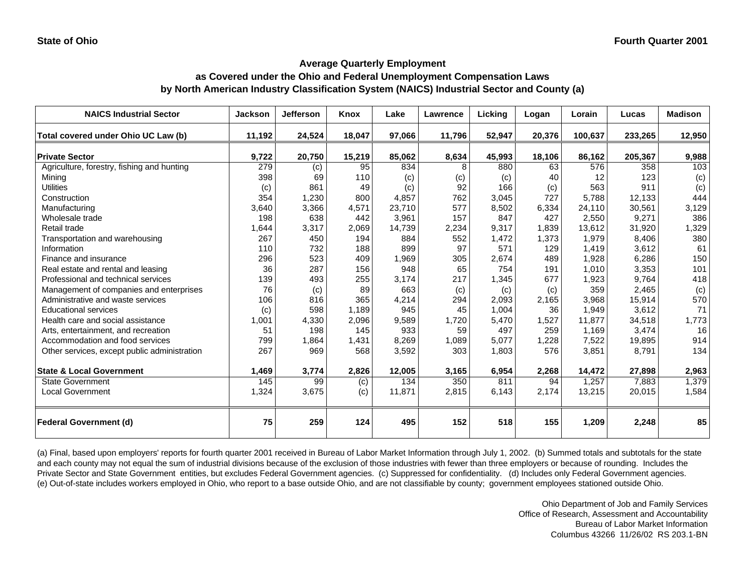#### **as Covered under the Ohio and Federal Unemployment Compensation Laws by North American Industry Classification System (NAICS) Industrial Sector and County (a)**

| <b>NAICS Industrial Sector</b>               | <b>Jackson</b> | <b>Jefferson</b> | <b>Knox</b> | Lake   | Lawrence | <b>Licking</b> | Logan  | Lorain  | Lucas   | <b>Madison</b> |
|----------------------------------------------|----------------|------------------|-------------|--------|----------|----------------|--------|---------|---------|----------------|
| Total covered under Ohio UC Law (b)          | 11,192         | 24,524           | 18,047      | 97,066 | 11,796   | 52,947         | 20,376 | 100,637 | 233,265 | 12,950         |
| <b>Private Sector</b>                        | 9,722          | 20,750           | 15,219      | 85,062 | 8,634    | 45,993         | 18,106 | 86,162  | 205,367 | 9,988          |
| Agriculture, forestry, fishing and hunting   | 279            | (c)              | 95          | 834    | 8        | 880            | 63     | 576     | 358     | 103            |
| Minina                                       | 398            | 69               | 110         | (c)    | (c)      | (c)            | 40     | 12      | 123     | (c)            |
| <b>Utilities</b>                             | (c)            | 861              | 49          | (c)    | 92       | 166            | (c)    | 563     | 911     | (c)            |
| Construction                                 | 354            | 1,230            | 800         | 4,857  | 762      | 3,045          | 727    | 5,788   | 12,133  | 444            |
| Manufacturing                                | 3,640          | 3,366            | 4,571       | 23,710 | 577      | 8,502          | 6,334  | 24,110  | 30,561  | 3,129          |
| Wholesale trade                              | 198            | 638              | 442         | 3,961  | 157      | 847            | 427    | 2,550   | 9,271   | 386            |
| Retail trade                                 | 1,644          | 3,317            | 2,069       | 14,739 | 2,234    | 9,317          | 1,839  | 13,612  | 31,920  | 1,329          |
| Transportation and warehousing               | 267            | 450              | 194         | 884    | 552      | 1,472          | 1,373  | 1,979   | 8,406   | 380            |
| Information                                  | 110            | 732              | 188         | 899    | 97       | 571            | 129    | 1,419   | 3,612   | 61             |
| Finance and insurance                        | 296            | 523              | 409         | 1,969  | 305      | 2,674          | 489    | 1,928   | 6,286   | 150            |
| Real estate and rental and leasing           | 36             | 287              | 156         | 948    | 65       | 754            | 191    | 1.010   | 3,353   | 101            |
| Professional and technical services          | 139            | 493              | 255         | 3,174  | 217      | 1,345          | 677    | 1,923   | 9,764   | 418            |
| Management of companies and enterprises      | 76             | (c)              | 89          | 663    | (c)      | (c)            | (c)    | 359     | 2,465   | (c)            |
| Administrative and waste services            | 106            | 816              | 365         | 4,214  | 294      | 2,093          | 2,165  | 3,968   | 15,914  | 570            |
| <b>Educational services</b>                  | (c)            | 598              | 1,189       | 945    | 45       | 1,004          | 36     | 1,949   | 3,612   | 71             |
| Health care and social assistance            | 1,001          | 4,330            | 2,096       | 9,589  | 1,720    | 5,470          | 1,527  | 11.877  | 34,518  | 1,773          |
| Arts, entertainment, and recreation          | 51             | 198              | 145         | 933    | 59       | 497            | 259    | 1,169   | 3,474   | 16             |
| Accommodation and food services              | 799            | 1,864            | 1,431       | 8,269  | 1,089    | 5,077          | 1,228  | 7,522   | 19,895  | 914            |
| Other services, except public administration | 267            | 969              | 568         | 3,592  | 303      | 1,803          | 576    | 3,851   | 8,791   | 134            |
| <b>State &amp; Local Government</b>          | 1,469          | 3,774            | 2,826       | 12,005 | 3,165    | 6,954          | 2,268  | 14,472  | 27,898  | 2,963          |
| <b>State Government</b>                      | 145            | 99               | (c)         | 134    | 350      | 811            | 94     | 1,257   | 7,883   | 1,379          |
| <b>Local Government</b>                      | 1,324          | 3,675            | (c)         | 11,871 | 2,815    | 6,143          | 2,174  | 13,215  | 20,015  | 1,584          |
| <b>Federal Government (d)</b>                | 75             | 259              | 124         | 495    | 152      | 518            | 155    | 1,209   | 2,248   | 85             |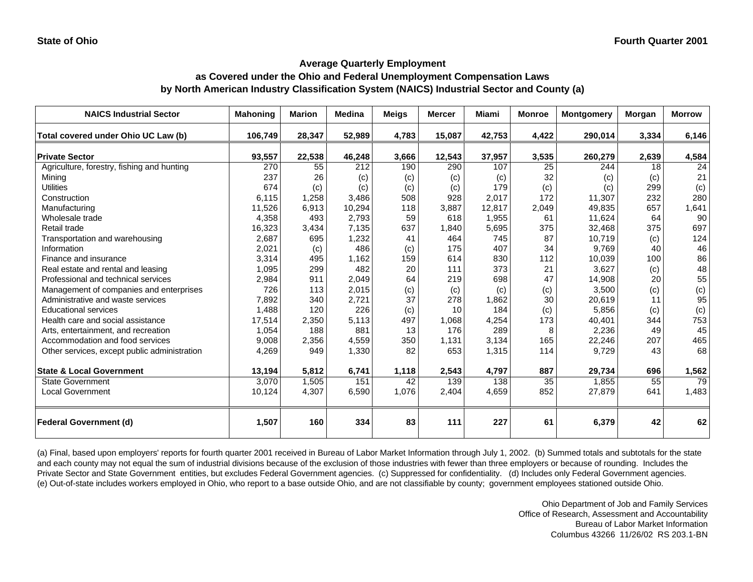#### **as Covered under the Ohio and Federal Unemployment Compensation Laws by North American Industry Classification System (NAICS) Industrial Sector and County (a)**

| <b>NAICS Industrial Sector</b>               | <b>Mahoning</b> | <b>Marion</b> | Medina | <b>Meigs</b> | <b>Mercer</b> | <b>Miami</b>    | <b>Monroe</b>   | <b>Montgomery</b> | Morgan | <b>Morrow</b> |
|----------------------------------------------|-----------------|---------------|--------|--------------|---------------|-----------------|-----------------|-------------------|--------|---------------|
| Total covered under Ohio UC Law (b)          | 106,749         | 28,347        | 52,989 | 4,783        | 15,087        | 42,753          | 4,422           | 290,014           | 3,334  | 6,146         |
| <b>Private Sector</b>                        | 93,557          | 22,538        | 46,248 | 3,666        | 12,543        | 37,957          | 3,535           | 260,279           | 2,639  | 4,584         |
| Agriculture, forestry, fishing and hunting   | 270             | 55            | 212    | 190          | 290           | 107             | 25              | 244               | 18     | 24            |
| Mining                                       | 237             | 26            | (c)    | (c)          | (c)           | (c)             | 32              | (c)               | (c)    | 21            |
| <b>Utilities</b>                             | 674             | (c)           | (c)    | (c)          | (c)           | 179             | (c)             | (c)               | 299    | (c)           |
| Construction                                 | 6,115           | 1,258         | 3,486  | 508          | 928           | 2.017           | 172             | 11,307            | 232    | 280           |
| Manufacturing                                | 11,526          | 6,913         | 10,294 | 118          | 3,887         | 12,817          | 2,049           | 49,835            | 657    | 1,641         |
| Wholesale trade                              | 4,358           | 493           | 2,793  | 59           | 618           | 1,955           | 61              | 11,624            | 64     | 90            |
| Retail trade                                 | 16,323          | 3,434         | 7,135  | 637          | 1,840         | 5,695           | 375             | 32,468            | 375    | 697           |
| Transportation and warehousing               | 2,687           | 695           | 1,232  | 41           | 464           | 745             | 87              | 10,719            | (c)    | 124           |
| Information                                  | 2,021           | (c)           | 486    | (c)          | 175           | 407             | 34              | 9,769             | 40     | 46            |
| Finance and insurance                        | 3,314           | 495           | 1,162  | 159          | 614           | 830             | 112             | 10,039            | 100    | 86            |
| Real estate and rental and leasing           | 1,095           | 299           | 482    | 20           | 111           | 373             | 21              | 3,627             | (c)    | 48            |
| Professional and technical services          | 2,984           | 911           | 2,049  | 64           | 219           | 698             | 47              | 14,908            | 20     | 55            |
| Management of companies and enterprises      | 726             | 113           | 2,015  | (c)          | (c)           | (c)             | (c)             | 3,500             | (c)    | (c)           |
| Administrative and waste services            | 7,892           | 340           | 2,721  | 37           | 278           | 1,862           | 30              | 20,619            | 11     | 95            |
| <b>Educational services</b>                  | 1,488           | 120           | 226    | (c)          | 10            | 184             | (c)             | 5,856             | (c)    | (c)           |
| Health care and social assistance            | 17,514          | 2,350         | 5.113  | 497          | 1.068         | 4,254           | 173             | 40,401            | 344    | 753           |
| Arts, entertainment, and recreation          | 1,054           | 188           | 881    | 13           | 176           | 289             | 8               | 2,236             | 49     | 45            |
| Accommodation and food services              | 9,008           | 2,356         | 4,559  | 350          | 1,131         | 3,134           | 165             | 22,246            | 207    | 465           |
| Other services, except public administration | 4,269           | 949           | 1,330  | 82           | 653           | 1,315           | 114             | 9,729             | 43     | 68            |
| <b>State &amp; Local Government</b>          | 13,194          | 5,812         | 6,741  | 1,118        | 2,543         | 4,797           | 887             | 29,734            | 696    | 1,562         |
| State Government                             | 3,070           | 1,505         | 151    | 42           | 139           | $\frac{138}{x}$ | $\overline{35}$ | 1,855             | 55     | 79            |
| <b>Local Government</b>                      | 10,124          | 4,307         | 6,590  | 1,076        | 2,404         | 4,659           | 852             | 27,879            | 641    | 1,483         |
| <b>Federal Government (d)</b>                | 1,507           | 160           | 334    | 83           | 111           | 227             | 61              | 6,379             | 42     | 62            |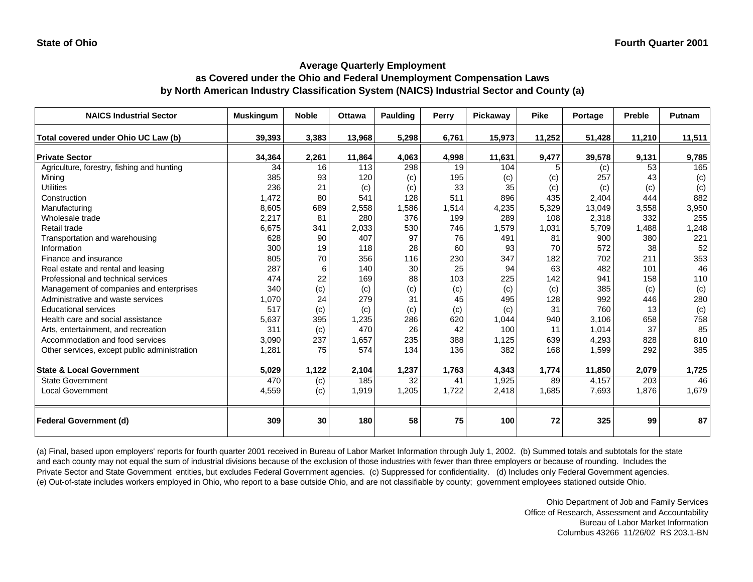#### **as Covered under the Ohio and Federal Unemployment Compensation Laws by North American Industry Classification System (NAICS) Industrial Sector and County (a)**

| <b>NAICS Industrial Sector</b>               | <b>Muskingum</b> | <b>Noble</b> | <b>Ottawa</b> | <b>Paulding</b> | Perry | Pickaway | <b>Pike</b> | Portage | Preble | Putnam |
|----------------------------------------------|------------------|--------------|---------------|-----------------|-------|----------|-------------|---------|--------|--------|
| Total covered under Ohio UC Law (b)          | 39,393           | 3,383        | 13,968        | 5,298           | 6,761 | 15,973   | 11,252      | 51,428  | 11,210 | 11,511 |
| <b>Private Sector</b>                        | 34,364           | 2,261        | 11,864        | 4,063           | 4,998 | 11,631   | 9,477       | 39,578  | 9,131  | 9,785  |
| Agriculture, forestry, fishing and hunting   | 34               | 16           | 113           | 298             | 19    | 104      |             | (c)     | 53     | 165    |
| Mining                                       | 385              | 93           | 120           | (c)             | 195   | (c)      | (c)         | 257     | 43     | (c)    |
| <b>Utilities</b>                             | 236              | 21           | (c)           | (c)             | 33    | 35       | (c)         | (c)     | (c)    | (c)    |
| Construction                                 | 1,472            | 80           | 541           | 128             | 511   | 896      | 435         | 2,404   | 444    | 882    |
| Manufacturing                                | 8,605            | 689          | 2,558         | 1,586           | 1,514 | 4,235    | 5,329       | 13,049  | 3,558  | 3,950  |
| Wholesale trade                              | 2,217            | 81           | 280           | 376             | 199   | 289      | 108         | 2,318   | 332    | 255    |
| Retail trade                                 | 6,675            | 341          | 2,033         | 530             | 746   | 1,579    | 1,031       | 5,709   | 1,488  | 1,248  |
| Transportation and warehousing               | 628              | 90           | 407           | 97              | 76    | 491      | 81          | 900     | 380    | 221    |
| Information                                  | 300              | 19           | 118           | 28              | 60    | 93       | 70          | 572     | 38     | 52     |
| Finance and insurance                        | 805              | 70           | 356           | 116             | 230   | 347      | 182         | 702     | 211    | 353    |
| Real estate and rental and leasing           | 287              | 6            | 140           | 30              | 25    | 94       | 63          | 482     | 101    | 46     |
| Professional and technical services          | 474              | 22           | 169           | 88              | 103   | 225      | 142         | 941     | 158    | 110    |
| Management of companies and enterprises      | 340              | (c)          | (c)           | (c)             | (c)   | (c)      | (c)         | 385     | (c)    | (c)    |
| Administrative and waste services            | 1,070            | 24           | 279           | 31              | 45    | 495      | 128         | 992     | 446    | 280    |
| <b>Educational services</b>                  | 517              | (c)          | (c)           | (c)             | (c)   | (c)      | 31          | 760     | 13     | (c)    |
| Health care and social assistance            | 5,637            | 395          | 1,235         | 286             | 620   | 1,044    | 940         | 3,106   | 658    | 758    |
| Arts, entertainment, and recreation          | 311              | (c)          | 470           | 26              | 42    | 100      | 11          | 1,014   | 37     | 85     |
| Accommodation and food services              | 3,090            | 237          | 1,657         | 235             | 388   | 1,125    | 639         | 4,293   | 828    | 810    |
| Other services, except public administration | 1,281            | 75           | 574           | 134             | 136   | 382      | 168         | 1,599   | 292    | 385    |
| <b>State &amp; Local Government</b>          | 5,029            | 1,122        | 2,104         | 1,237           | 1,763 | 4,343    | 1,774       | 11,850  | 2,079  | 1,725  |
| <b>State Government</b>                      | 470              | (c)          | 185           | 32              | 41    | 1,925    | 89          | 4,157   | 203    | 46     |
| <b>Local Government</b>                      | 4,559            | (c)          | 1,919         | 1,205           | 1,722 | 2,418    | 1,685       | 7,693   | 1,876  | 1,679  |
| <b>Federal Government (d)</b>                | 309              | 30           | 180           | 58              | 75    | 100      | 72          | 325     | 99     | 87     |

(a) Final, based upon employers' reports for fourth quarter 2001 received in Bureau of Labor Market Information through July 1, 2002. (b) Summed totals and subtotals for the state and each county may not equal the sum of industrial divisions because of the exclusion of those industries with fewer than three employers or because of rounding. Includes the Private Sector and State Government entities, but excludes Federal Government agencies. (c) Suppressed for confidentiality. (d) Includes only Federal Government agencies. (e) Out-of-state includes workers employed in Ohio, who report to a base outside Ohio, and are not classifiable by county; government employees stationed outside Ohio.

> Ohio Department of Job and Family Services Office of Research, Assessment and Accountability Bureau of Labor Market Information Columbus 43266 11/26/02 RS 203.1-BN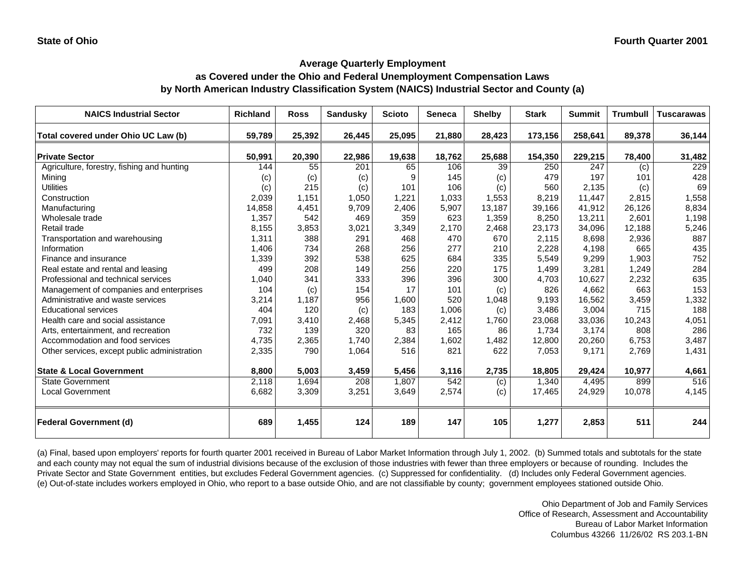#### **as Covered under the Ohio and Federal Unemployment Compensation Laws by North American Industry Classification System (NAICS) Industrial Sector and County (a)**

| <b>NAICS Industrial Sector</b>               | <b>Richland</b> | <b>Ross</b> | <b>Sandusky</b> | <b>Scioto</b> | <b>Seneca</b> | <b>Shelby</b> | <b>Stark</b> | <b>Summit</b> | <b>Trumbull</b> | <b>Tuscarawas</b> |
|----------------------------------------------|-----------------|-------------|-----------------|---------------|---------------|---------------|--------------|---------------|-----------------|-------------------|
| Total covered under Ohio UC Law (b)          | 59,789          | 25,392      | 26,445          | 25,095        | 21,880        | 28,423        | 173,156      | 258,641       | 89,378          | 36,144            |
| <b>Private Sector</b>                        | 50,991          | 20,390      | 22,986          | 19,638        | 18,762        | 25,688        | 154,350      | 229,215       | 78,400          | 31,482            |
| Agriculture, forestry, fishing and hunting   | 144             | 55          | 201             | 65            | 106           | 39            | 250          | 247           | (c)             | 229               |
| Minina                                       | (c)             | (c)         | (c)             | 9             | 145           | (c)           | 479          | 197           | 101             | 428               |
| <b>Utilities</b>                             | (c)             | 215         | (c)             | 101           | 106           | (c)           | 560          | 2,135         | (c)             | 69                |
| Construction                                 | 2,039           | 1,151       | 1,050           | 1,221         | 1,033         | 1,553         | 8,219        | 11,447        | 2,815           | 1,558             |
| Manufacturing                                | 14,858          | 4,451       | 9,709           | 2,406         | 5,907         | 13,187        | 39,166       | 41,912        | 26,126          | 8,834             |
| Wholesale trade                              | 1,357           | 542         | 469             | 359           | 623           | 1,359         | 8,250        | 13,211        | 2,601           | 1,198             |
| Retail trade                                 | 8,155           | 3,853       | 3,021           | 3,349         | 2,170         | 2,468         | 23,173       | 34,096        | 12,188          | 5,246             |
| Transportation and warehousing               | 1,311           | 388         | 291             | 468           | 470           | 670           | 2,115        | 8,698         | 2,936           | 887               |
| Information                                  | 1,406           | 734         | 268             | 256           | 277           | 210           | 2,228        | 4,198         | 665             | 435               |
| Finance and insurance                        | 1,339           | 392         | 538             | 625           | 684           | 335           | 5,549        | 9,299         | 1,903           | 752               |
| Real estate and rental and leasing           | 499             | 208         | 149             | 256           | 220           | 175           | 1,499        | 3,281         | 1,249           | 284               |
| Professional and technical services          | 1,040           | 341         | 333             | 396           | 396           | 300           | 4,703        | 10,627        | 2,232           | 635               |
| Management of companies and enterprises      | 104             | (c)         | 154             | 17            | 101           | (c)           | 826          | 4,662         | 663             | 153               |
| Administrative and waste services            | 3,214           | 1,187       | 956             | 1,600         | 520           | 1,048         | 9,193        | 16,562        | 3,459           | 1,332             |
| <b>Educational services</b>                  | 404             | 120         | (c)             | 183           | 1,006         | (c)           | 3,486        | 3,004         | 715             | 188               |
| Health care and social assistance            | 7,091           | 3,410       | 2,468           | 5,345         | 2,412         | 1,760         | 23,068       | 33,036        | 10,243          | 4,051             |
| Arts, entertainment, and recreation          | 732             | 139         | 320             | 83            | 165           | 86            | 1,734        | 3,174         | 808             | 286               |
| Accommodation and food services              | 4,735           | 2,365       | 1,740           | 2,384         | 1,602         | 1,482         | 12,800       | 20,260        | 6,753           | 3,487             |
| Other services, except public administration | 2,335           | 790         | 1,064           | 516           | 821           | 622           | 7,053        | 9,171         | 2,769           | 1,431             |
| <b>State &amp; Local Government</b>          | 8,800           | 5,003       | 3,459           | 5,456         | 3,116         | 2,735         | 18,805       | 29,424        | 10,977          | 4,661             |
| <b>State Government</b>                      | 2,118           | 1,694       | 208             | 1,807         | 542           | (c)           | 1,340        | 4,495         | 899             | 516               |
| <b>Local Government</b>                      | 6,682           | 3,309       | 3,251           | 3,649         | 2,574         | (c)           | 17,465       | 24,929        | 10,078          | 4,145             |
| <b>Federal Government (d)</b>                | 689             | 1,455       | 124             | 189           | 147           | 105           | 1,277        | 2,853         | 511             | 244               |